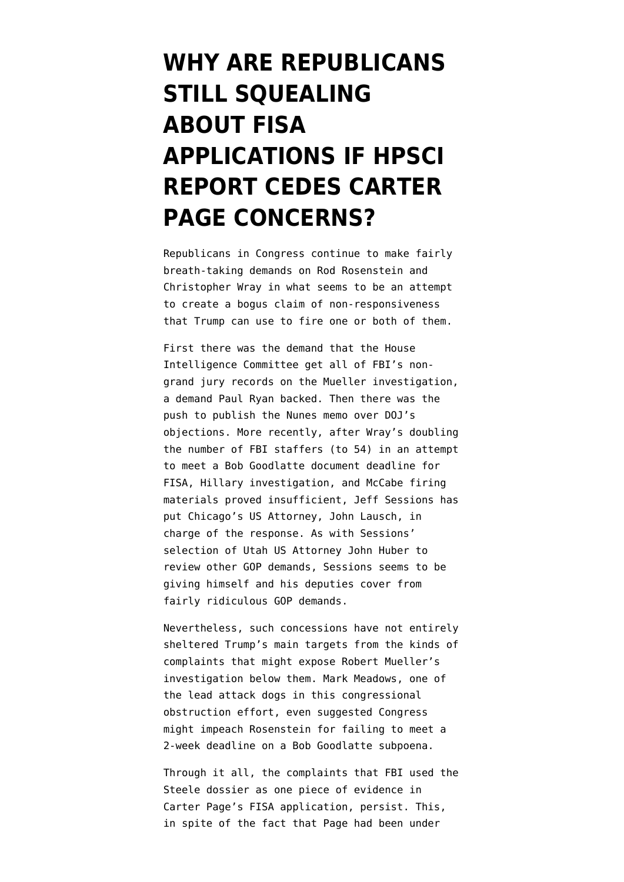## **[WHY ARE REPUBLICANS](https://www.emptywheel.net/2018/04/10/why-are-republicans-still-squealing-about-fisa-applications-if-hpsci-report-cedes-carter-page-concerns/) [STILL SQUEALING](https://www.emptywheel.net/2018/04/10/why-are-republicans-still-squealing-about-fisa-applications-if-hpsci-report-cedes-carter-page-concerns/) [ABOUT FISA](https://www.emptywheel.net/2018/04/10/why-are-republicans-still-squealing-about-fisa-applications-if-hpsci-report-cedes-carter-page-concerns/) [APPLICATIONS IF HPSCI](https://www.emptywheel.net/2018/04/10/why-are-republicans-still-squealing-about-fisa-applications-if-hpsci-report-cedes-carter-page-concerns/) [REPORT CEDES CARTER](https://www.emptywheel.net/2018/04/10/why-are-republicans-still-squealing-about-fisa-applications-if-hpsci-report-cedes-carter-page-concerns/) [PAGE CONCERNS?](https://www.emptywheel.net/2018/04/10/why-are-republicans-still-squealing-about-fisa-applications-if-hpsci-report-cedes-carter-page-concerns/)**

Republicans in Congress continue to make fairly breath-taking demands on Rod Rosenstein and Christopher Wray in what seems to be an attempt to create a bogus claim of non-responsiveness that Trump can use to fire one or both of them.

First there was [the demand](https://www.politico.com/story/2018/01/03/ryan-rosenstein-wray-fbi-justice-322618) that the House Intelligence Committee get all of FBI's nongrand jury records on the Mueller investigation, a demand Paul Ryan backed. Then there was the [push to publish](https://www.washingtonpost.com/politics/justice-dept-officials-appealed-to-white-house-to-halt-release-of-memo-alleging-fbi-abuses-related-to-author-of-trump-dossier/2018/01/30/32f9d15a-060d-11e8-ae28-e370b74ea9a7_story.html) the Nunes memo over DOJ's objections. More recently, after [Wray's doubling](https://www.fbi.gov/news/pressrel/press-releases/statement-from-fbi-director-christopher-wray-on-records-requests) [the number of FBI staffers](https://www.fbi.gov/news/pressrel/press-releases/statement-from-fbi-director-christopher-wray-on-records-requests) (to 54) in an attempt to meet a Bob Goodlatte document deadline for FISA, Hillary investigation, and McCabe firing materials proved insufficient, [Jeff Sessions has](https://www.cnn.com/2018/04/09/politics/justice-dept-atty-general-documents/index.html) [put Chicago's US Attorney, John Lausch, in](https://www.cnn.com/2018/04/09/politics/justice-dept-atty-general-documents/index.html) [charge](https://www.cnn.com/2018/04/09/politics/justice-dept-atty-general-documents/index.html) of the response. As with [Sessions'](https://www.sltrib.com/news/2018/03/29/us-attorney-for-utah-huber-probing-gop-raised-concerns-about-the-fbi-surveilling-trump-aide-ignoring-clinton-uranium-ties/) [selection of Utah US Attorney John Huber](https://www.sltrib.com/news/2018/03/29/us-attorney-for-utah-huber-probing-gop-raised-concerns-about-the-fbi-surveilling-trump-aide-ignoring-clinton-uranium-ties/) to review other GOP demands, Sessions seems to be giving himself and his deputies cover from fairly ridiculous GOP demands.

Nevertheless, such concessions have not entirely sheltered Trump's main targets from the kinds of complaints that might expose Robert Mueller's investigation below them. Mark Meadows, one of the lead attack dogs in this congressional obstruction effort, even [suggested](http://dailycaller.com/2018/04/08/mark-meadows-rod-rosenstein-impeachment/) Congress might impeach Rosenstein for failing to meet a 2-week deadline on a Bob Goodlatte subpoena.

Through it all, the complaints that FBI used the Steele dossier as one piece of evidence in Carter Page's FISA application, persist. This, in spite of the fact that Page had been under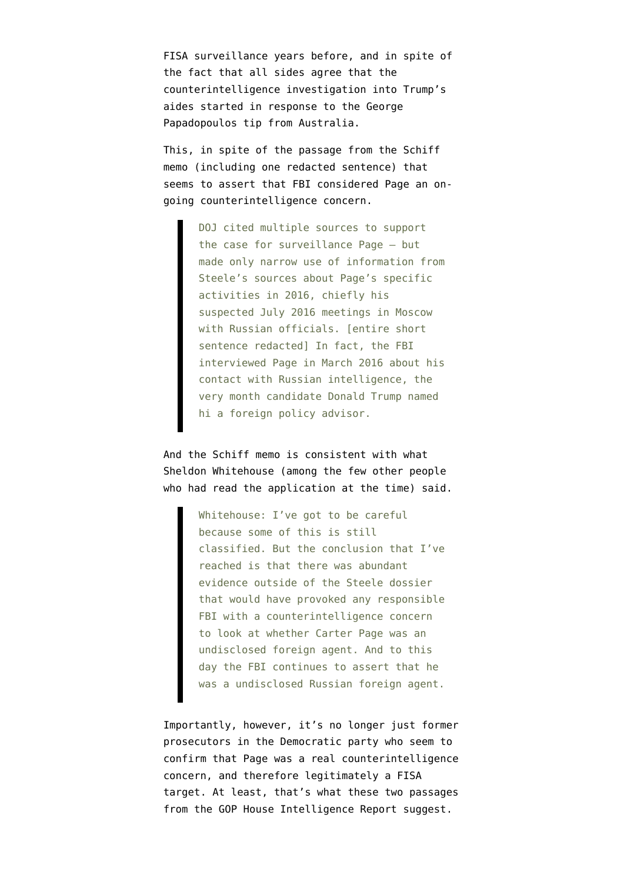FISA surveillance years before, and in spite of the fact that all sides agree that the counterintelligence investigation into Trump's aides started in response to the George Papadopoulos tip from Australia.

This, in spite of the passage from the [Schiff](http://docs.house.gov/meetings/ig/ig00/20180205/106838/hmtg-115-ig00-20180205-sd002.pdf) [memo](http://docs.house.gov/meetings/ig/ig00/20180205/106838/hmtg-115-ig00-20180205-sd002.pdf) (including one redacted sentence) that seems to assert that FBI considered Page an ongoing counterintelligence concern.

> DOJ cited multiple sources to support the case for surveillance Page — but made only narrow use of information from Steele's sources about Page's specific activities in 2016, chiefly his suspected July 2016 meetings in Moscow with Russian officials. [entire short sentence redacted] In fact, the FBI interviewed Page in March 2016 about his contact with Russian intelligence, the very month candidate Donald Trump named hi a foreign policy advisor.

And the Schiff memo is consistent with what Sheldon Whitehouse (among the few other people who had read the application at the time) [said.](https://www.emptywheel.net/2018/02/11/on-the-grassley-feinstein-dispute/)

> Whitehouse: I've got to be careful because some of this is still classified. But the conclusion that I've reached is that there was abundant evidence outside of the Steele dossier that would have provoked any responsible FBI with a counterintelligence concern to look at whether Carter Page was an undisclosed foreign agent. And to this day the FBI continues to assert that he was a undisclosed Russian foreign agent.

Importantly, however, it's no longer just former prosecutors in the Democratic party who seem to confirm that Page was a real counterintelligence concern, and therefore legitimately a FISA target. At least, that's what these two passages from the [GOP House Intelligence Report](https://intelligence.house.gov/uploadedfiles/russia_report_findings_and_recommendations.pdf) suggest.